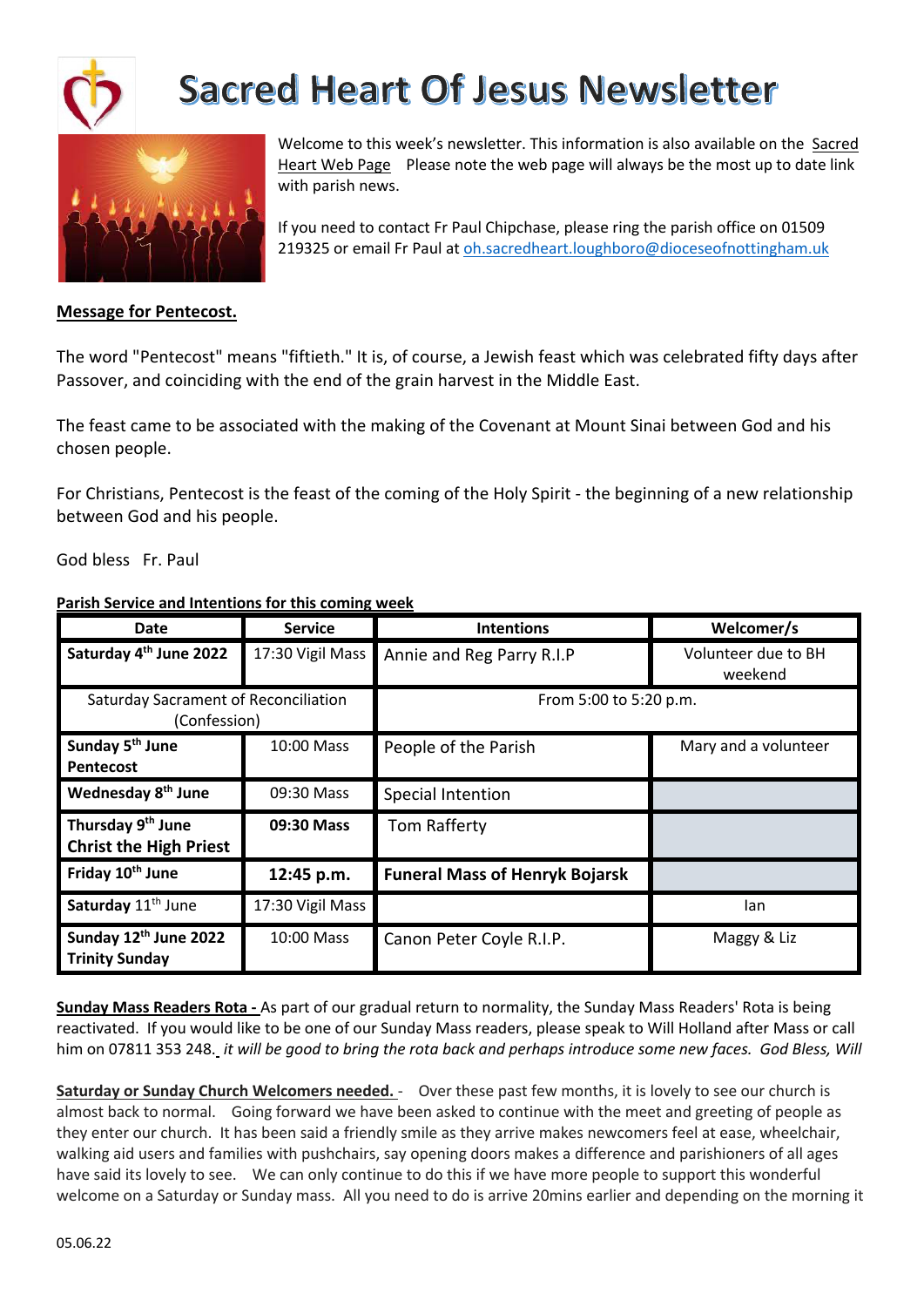



Welcome to this week's newsletter. This information is also available on the Sacred Heart Web Page Please note the web page will always be the most up to date link with parish news.

If you need to contact Fr Paul Chipchase, please ring the parish office on 01509 219325 or email Fr Paul at oh.sacredheart.loughboro@dioceseofnottingham.uk

### **Message for Pentecost.**

The word "Pentecost" means "fiftieth." It is, of course, a Jewish feast which was celebrated fifty days after Passover, and coinciding with the end of the grain harvest in the Middle East.

The feast came to be associated with the making of the Covenant at Mount Sinai between God and his chosen people.

For Christians, Pentecost is the feast of the coming of the Holy Spirit - the beginning of a new relationship between God and his people.

God bless Fr. Paul

### **Parish Service and Intentions for this coming week**

| <b>Date</b>                                                    | <b>Service</b>   | <b>Intentions</b>                     | Welcomer/s                     |  |  |  |
|----------------------------------------------------------------|------------------|---------------------------------------|--------------------------------|--|--|--|
| Saturday 4 <sup>th</sup> June 2022                             | 17:30 Vigil Mass | Annie and Reg Parry R.I.P             | Volunteer due to BH<br>weekend |  |  |  |
| Saturday Sacrament of Reconciliation<br>(Confession)           |                  | From 5:00 to 5:20 p.m.                |                                |  |  |  |
| Sunday 5 <sup>th</sup> June<br>Pentecost                       | 10:00 Mass       | People of the Parish                  | Mary and a volunteer           |  |  |  |
| Wednesday 8 <sup>th</sup> June                                 | 09:30 Mass       | Special Intention                     |                                |  |  |  |
| Thursday 9 <sup>th</sup> June<br><b>Christ the High Priest</b> | 09:30 Mass       | Tom Rafferty                          |                                |  |  |  |
| Friday 10 <sup>th</sup> June                                   | 12:45 p.m.       | <b>Funeral Mass of Henryk Bojarsk</b> |                                |  |  |  |
| Saturday 11 <sup>th</sup> June                                 | 17:30 Vigil Mass |                                       | lan                            |  |  |  |
| Sunday 12 <sup>th</sup> June 2022<br><b>Trinity Sunday</b>     | 10:00 Mass       | Canon Peter Coyle R.I.P.              | Maggy & Liz                    |  |  |  |

**Sunday Mass Readers Rota -** As part of our gradual return to normality, the Sunday Mass Readers' Rota is being reactivated. If you would like to be one of our Sunday Mass readers, please speak to Will Holland after Mass or call him on 07811 353 248. it will be good to bring the rota back and perhaps introduce some new faces. God Bless, Will

**Saturday or Sunday Church Welcomers needed.** - Over these past few months, it is lovely to see our church is almost back to normal. Going forward we have been asked to continue with the meet and greeting of people as they enter our church. It has been said a friendly smile as they arrive makes newcomers feel at ease, wheelchair, walking aid users and families with pushchairs, say opening doors makes a difference and parishioners of all ages have said its lovely to see. We can only continue to do this if we have more people to support this wonderful welcome on a Saturday or Sunday mass. All you need to do is arrive 20mins earlier and depending on the morning it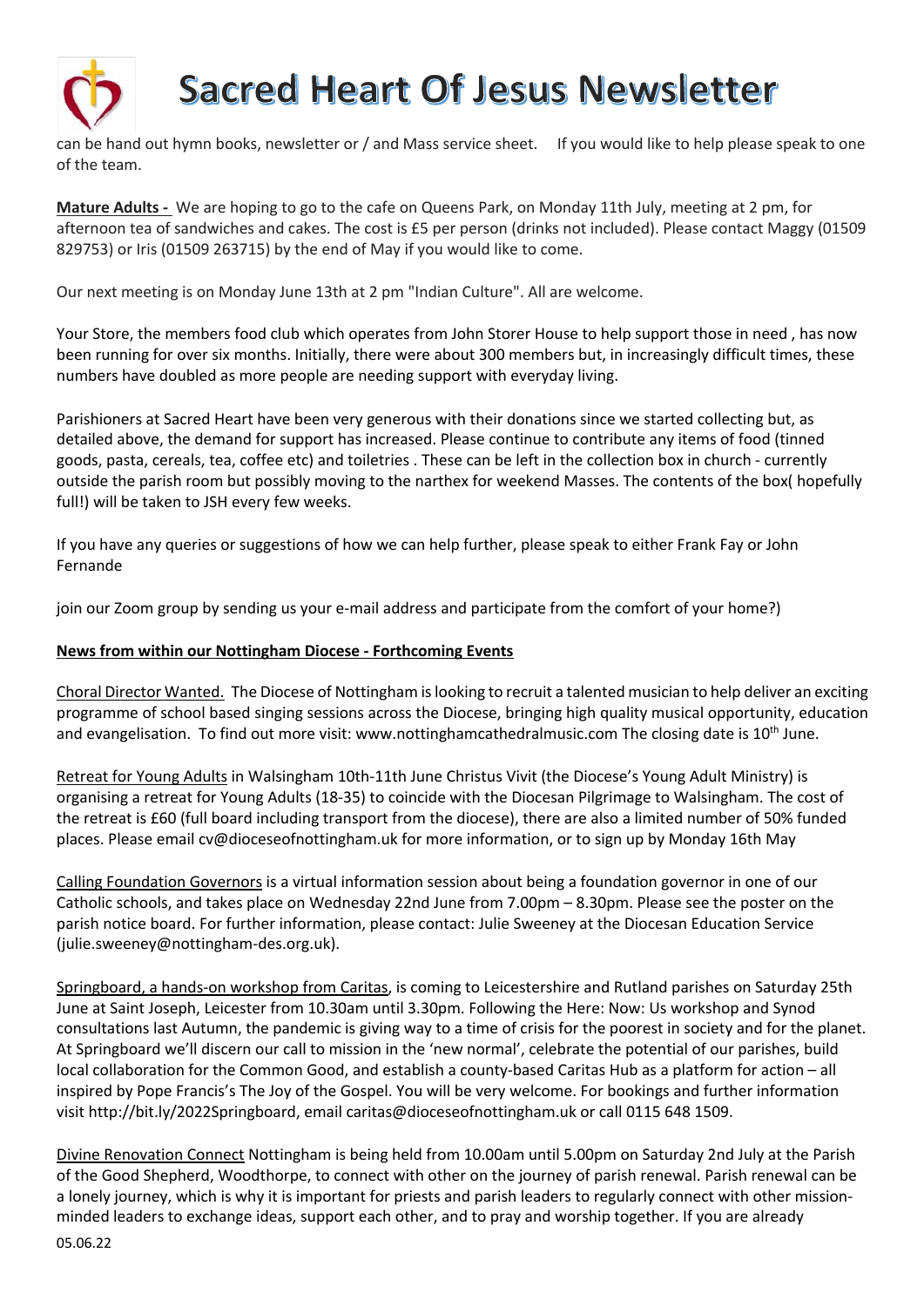

can be hand out hymn books, newsletter or / and Mass service sheet. If you would like to help please speak to one of the team.

**Mature Adults -** We are hoping to go to the cafe on Queens Park, on Monday 11th July, meeting at 2 pm, for afternoon tea of sandwiches and cakes. The cost is £5 per person (drinks not included). Please contact Maggy (01509 829753) or Iris (01509 263715) by the end of May if you would like to come.

Our next meeting is on Monday June 13th at 2 pm "Indian Culture". All are welcome.

Your Store, the members food club which operates from John Storer House to help support those in need , has now been running for over six months. Initially, there were about 300 members but, in increasingly difficult times, these numbers have doubled as more people are needing support with everyday living.

Parishioners at Sacred Heart have been very generous with their donations since we started collecting but, as detailed above, the demand for support has increased. Please continue to contribute any items of food (tinned goods, pasta, cereals, tea, coffee etc) and toiletries . These can be left in the collection box in church - currently outside the parish room but possibly moving to the narthex for weekend Masses. The contents of the box( hopefully full!) will be taken to JSH every few weeks.

If you have any queries or suggestions of how we can help further, please speak to either Frank Fay or John Fernande

join our Zoom group by sending us your e-mail address and participate from the comfort of your home?)

#### **News from within our Nottingham Diocese - Forthcoming Events**

Choral Director Wanted. The Diocese of Nottingham is looking to recruit a talented musician to help deliver an exciting programme of school based singing sessions across the Diocese, bringing high quality musical opportunity, education and evangelisation. To find out more visit: www.nottinghamcathedralmusic.com The closing date is  $10^{th}$  June.

Retreat for Young Adults in Walsingham 10th-11th June Christus Vivit (the Diocese's Young Adult Ministry) is organising a retreat for Young Adults (18-35) to coincide with the Diocesan Pilgrimage to Walsingham. The cost of the retreat is £60 (full board including transport from the diocese), there are also a limited number of 50% funded places. Please email cv@dioceseofnottingham.uk for more information, or to sign up by Monday 16th May

Calling Foundation Governors is a virtual information session about being a foundation governor in one of our Catholic schools, and takes place on Wednesday 22nd June from 7.00pm – 8.30pm. Please see the poster on the parish notice board. For further information, please contact: Julie Sweeney at the Diocesan Education Service (julie.sweeney@nottingham-des.org.uk).

Springboard, a hands-on workshop from Caritas, is coming to Leicestershire and Rutland parishes on Saturday 25th June at Saint Joseph, Leicester from 10.30am until 3.30pm. Following the Here: Now: Us workshop and Synod consultations last Autumn, the pandemic is giving way to a time of crisis for the poorest in society and for the planet. At Springboard we'll discern our call to mission in the 'new normal', celebrate the potential of our parishes, build local collaboration for the Common Good, and establish a county-based Caritas Hub as a platform for action – all inspired by Pope Francis's The Joy of the Gospel. You will be very welcome. For bookings and further information visit http://bit.ly/2022Springboard, email caritas@dioceseofnottingham.uk or call 0115 648 1509.

Divine Renovation Connect Nottingham is being held from 10.00am until 5.00pm on Saturday 2nd July at the Parish of the Good Shepherd, Woodthorpe, to connect with other on the journey of parish renewal. Parish renewal can be a lonely journey, which is why it is important for priests and parish leaders to regularly connect with other missionminded leaders to exchange ideas, support each other, and to pray and worship together. If you are already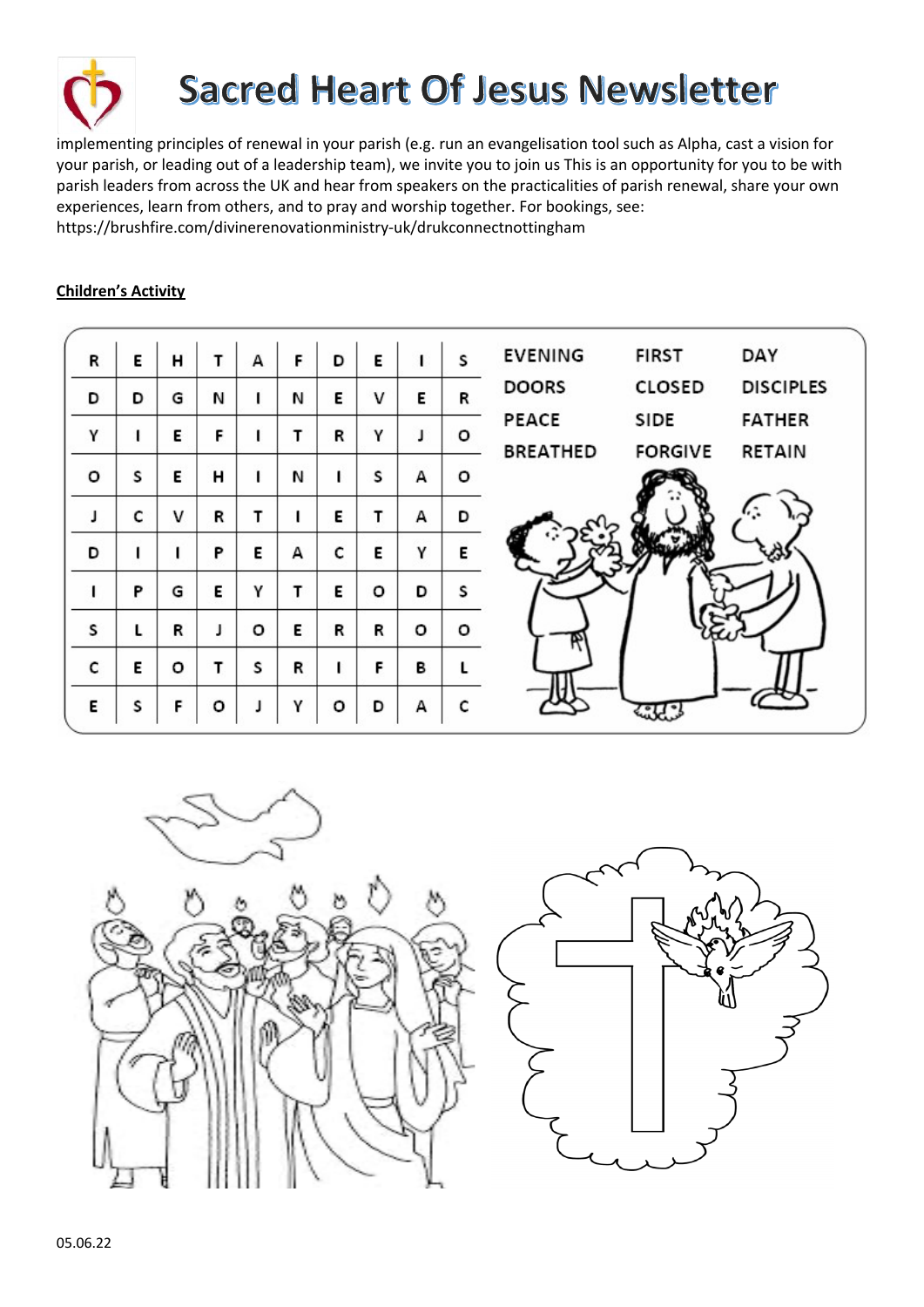

implementing principles of renewal in your parish (e.g. run an evangelisation tool such as Alpha, cast a vision for your parish, or leading out of a leadership team), we invite you to join us This is an opportunity for you to be with parish leaders from across the UK and hear from speakers on the practicalities of parish renewal, share your own experiences, learn from others, and to pray and worship together. For bookings, see:

https://brushfire.com/divinerenovationministry-uk/drukconnectnottingham

## **Children's Activity**

| R | E | н       | т | А | F | D | E | 1 | S | <b>EVENING</b>  | <b>FIRST</b>   | DAY              |
|---|---|---------|---|---|---|---|---|---|---|-----------------|----------------|------------------|
| D | D | G       | И | ı | И | Ε | v | Е | R | <b>DOORS</b>    | CLOSED         | <b>DISCIPLES</b> |
| Υ |   | Е       | F |   |   | R | Υ | J | о | PEACE           | SIDE           | <b>FATHER</b>    |
|   |   |         |   |   |   |   |   |   |   | <b>BREATHED</b> | <b>FORGIVE</b> | RETAIN           |
| o | S | Е       | н | ı | И |   | S | А | о |                 |                |                  |
|   | c | v       | R | т |   | Ε | т | А | D |                 |                |                  |
| D |   |         | P | E | А | c | Ε | Υ | E |                 |                |                  |
|   | P | G       | E | γ | т | Ε | o | D | S |                 |                |                  |
| s | L | R       | J | о | E | R | R | o | о |                 |                |                  |
| c | E | $\circ$ | т | S | R |   | F | B |   |                 |                |                  |
| Ε | s | F       | o |   | γ | o | D | А | c |                 |                |                  |